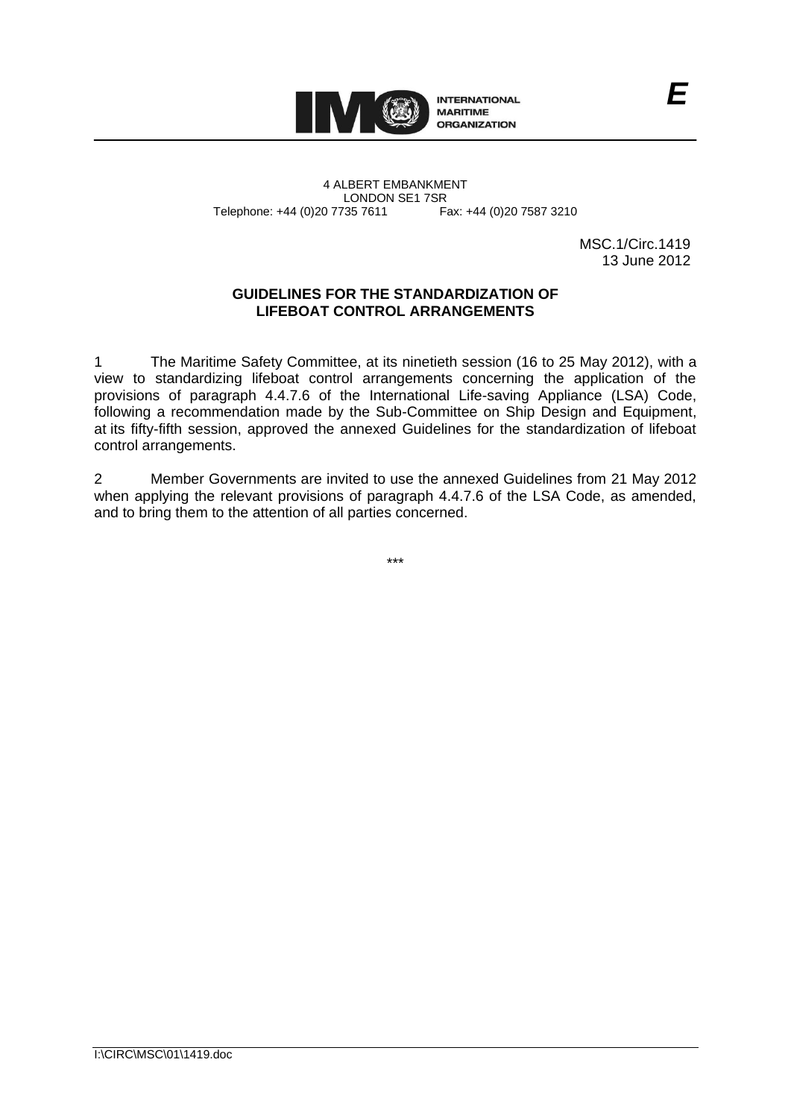

4 ALBERT EMBANKMENT Telephone: +44 (0)20 7735 7611

LONDON SE1 7SR<br>735 7611 Fax: +44 (0)20 7587 3210

MSC.1/Circ.1419 13 June 2012

## **GUIDELINES FOR THE STANDARDIZATION OF LIFEBOAT CONTROL ARRANGEMENTS**

1 The Maritime Safety Committee, at its ninetieth session (16 to 25 May 2012), with a view to standardizing lifeboat control arrangements concerning the application of the provisions of paragraph 4.4.7.6 of the International Life-saving Appliance (LSA) Code, following a recommendation made by the Sub-Committee on Ship Design and Equipment, at its fifty-fifth session, approved the annexed Guidelines for the standardization of lifeboat control arrangements.

2 Member Governments are invited to use the annexed Guidelines from 21 May 2012 when applying the relevant provisions of paragraph 4.4.7.6 of the LSA Code, as amended, and to bring them to the attention of all parties concerned.

\*\*\*